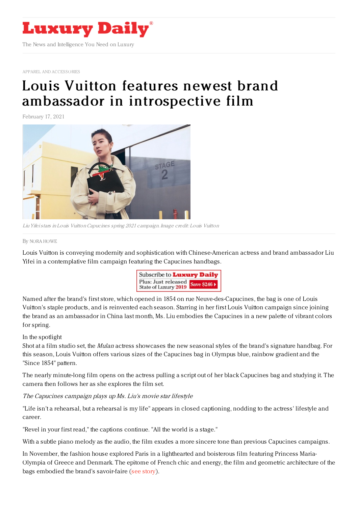

APPAREL AND [ACCESSORIES](https://www.luxurydaily.com/category/sectors/apparel-and-accessories/)

## Louis Vuitton features newest brand ambassador in [introspective](https://www.luxurydaily.com/louis-vuitton-liu-yifei-capucines-campaign/) film

February 17, 2021



Liu Yifeistars in Louis VuittonCapucines spring 2021 campaign. Image credit: Louis Vuitton

By NORA [HOWE](file:///author/nora-howe)

Louis Vuitton is conveying modernity and sophistication with Chinese-American actress and brand ambassador Liu Yifei in a contemplative film campaign featuring the Capucines handbags.



Named after the brand's first store, which opened in 1854 on rue Neuve-des-Capucines, the bag is one of Louis Vuitton's staple products, and is reinvented each season. Starring in her first Louis Vuitton campaign since joining the brand as an ambassador in China last month, Ms. Liu embodies the Capucines in a new palette of vibrant colors for spring.

## In the spotlight

Shot at a film studio set, the *Mulan* actress showcases the new seasonal styles of the brand's signature handbag. For this season, Louis Vuitton offers various sizes of the Capucines bag in Olympus blue, rainbow gradient and the "Since 1854" pattern.

The nearly minute-long film opens on the actress pulling a script out of her black Capucines bag and studying it. The camera then follows her as she explores the film set.

The Capucines campaign plays up Ms. Liu's movie star lifestyle

"Life isn't a rehearsal, but a rehearsal is my life" appears in closed captioning, nodding to the actress' lifestyle and career.

"Revel in your first read," the captions continue. "All the world is a stage."

With a subtle piano melody as the audio, the film exudes a more sincere tone than previous Capucines campaigns.

In November, the fashion house explored Paris in a lighthearted and boisterous film featuring Princess Maria-Olympia of Greece and Denmark. The epitome of French chic and energy, the film and geometric architecture of the bags embodied the brand's savoir-faire (see [story](https://www.luxurydaily.com/louis-vuitton-taps-royalty-in-charming-new-film-campaign/)).